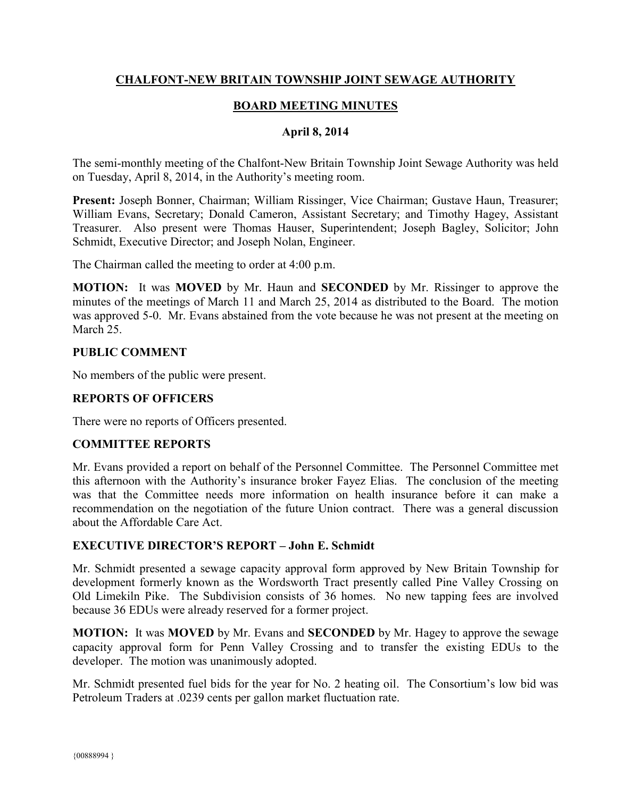## **CHALFONT-NEW BRITAIN TOWNSHIP JOINT SEWAGE AUTHORITY**

# **BOARD MEETING MINUTES**

### **April 8, 2014**

The semi-monthly meeting of the Chalfont-New Britain Township Joint Sewage Authority was held on Tuesday, April 8, 2014, in the Authority's meeting room.

**Present:** Joseph Bonner, Chairman; William Rissinger, Vice Chairman; Gustave Haun, Treasurer; William Evans, Secretary; Donald Cameron, Assistant Secretary; and Timothy Hagey, Assistant Treasurer. Also present were Thomas Hauser, Superintendent; Joseph Bagley, Solicitor; John Schmidt, Executive Director; and Joseph Nolan, Engineer.

The Chairman called the meeting to order at 4:00 p.m.

**MOTION:** It was **MOVED** by Mr. Haun and **SECONDED** by Mr. Rissinger to approve the minutes of the meetings of March 11 and March 25, 2014 as distributed to the Board. The motion was approved 5-0. Mr. Evans abstained from the vote because he was not present at the meeting on March 25.

#### **PUBLIC COMMENT**

No members of the public were present.

### **REPORTS OF OFFICERS**

There were no reports of Officers presented.

#### **COMMITTEE REPORTS**

Mr. Evans provided a report on behalf of the Personnel Committee. The Personnel Committee met this afternoon with the Authority's insurance broker Fayez Elias. The conclusion of the meeting was that the Committee needs more information on health insurance before it can make a recommendation on the negotiation of the future Union contract. There was a general discussion about the Affordable Care Act.

#### **EXECUTIVE DIRECTOR'S REPORT – John E. Schmidt**

Mr. Schmidt presented a sewage capacity approval form approved by New Britain Township for development formerly known as the Wordsworth Tract presently called Pine Valley Crossing on Old Limekiln Pike. The Subdivision consists of 36 homes. No new tapping fees are involved because 36 EDUs were already reserved for a former project.

**MOTION:** It was **MOVED** by Mr. Evans and **SECONDED** by Mr. Hagey to approve the sewage capacity approval form for Penn Valley Crossing and to transfer the existing EDUs to the developer. The motion was unanimously adopted.

Mr. Schmidt presented fuel bids for the year for No. 2 heating oil. The Consortium's low bid was Petroleum Traders at .0239 cents per gallon market fluctuation rate.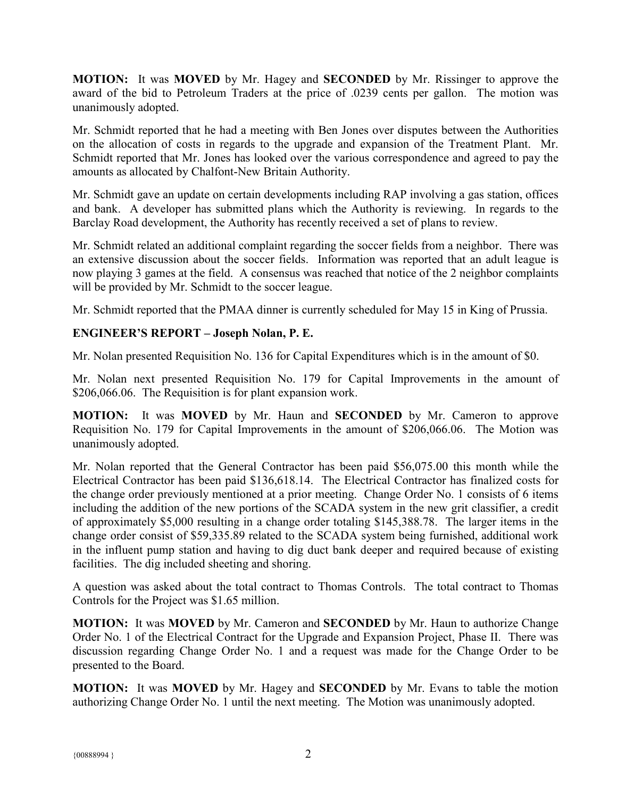**MOTION:** It was **MOVED** by Mr. Hagey and **SECONDED** by Mr. Rissinger to approve the award of the bid to Petroleum Traders at the price of .0239 cents per gallon. The motion was unanimously adopted.

Mr. Schmidt reported that he had a meeting with Ben Jones over disputes between the Authorities on the allocation of costs in regards to the upgrade and expansion of the Treatment Plant. Mr. Schmidt reported that Mr. Jones has looked over the various correspondence and agreed to pay the amounts as allocated by Chalfont-New Britain Authority.

Mr. Schmidt gave an update on certain developments including RAP involving a gas station, offices and bank. A developer has submitted plans which the Authority is reviewing. In regards to the Barclay Road development, the Authority has recently received a set of plans to review.

Mr. Schmidt related an additional complaint regarding the soccer fields from a neighbor. There was an extensive discussion about the soccer fields. Information was reported that an adult league is now playing 3 games at the field. A consensus was reached that notice of the 2 neighbor complaints will be provided by Mr. Schmidt to the soccer league.

Mr. Schmidt reported that the PMAA dinner is currently scheduled for May 15 in King of Prussia.

# **ENGINEER'S REPORT – Joseph Nolan, P. E.**

Mr. Nolan presented Requisition No. 136 for Capital Expenditures which is in the amount of \$0.

Mr. Nolan next presented Requisition No. 179 for Capital Improvements in the amount of \$206,066.06. The Requisition is for plant expansion work.

**MOTION:** It was **MOVED** by Mr. Haun and **SECONDED** by Mr. Cameron to approve Requisition No. 179 for Capital Improvements in the amount of \$206,066.06. The Motion was unanimously adopted.

Mr. Nolan reported that the General Contractor has been paid \$56,075.00 this month while the Electrical Contractor has been paid \$136,618.14. The Electrical Contractor has finalized costs for the change order previously mentioned at a prior meeting. Change Order No. 1 consists of 6 items including the addition of the new portions of the SCADA system in the new grit classifier, a credit of approximately \$5,000 resulting in a change order totaling \$145,388.78. The larger items in the change order consist of \$59,335.89 related to the SCADA system being furnished, additional work in the influent pump station and having to dig duct bank deeper and required because of existing facilities. The dig included sheeting and shoring.

A question was asked about the total contract to Thomas Controls. The total contract to Thomas Controls for the Project was \$1.65 million.

**MOTION:** It was **MOVED** by Mr. Cameron and **SECONDED** by Mr. Haun to authorize Change Order No. 1 of the Electrical Contract for the Upgrade and Expansion Project, Phase II. There was discussion regarding Change Order No. 1 and a request was made for the Change Order to be presented to the Board.

**MOTION:** It was **MOVED** by Mr. Hagey and **SECONDED** by Mr. Evans to table the motion authorizing Change Order No. 1 until the next meeting. The Motion was unanimously adopted.